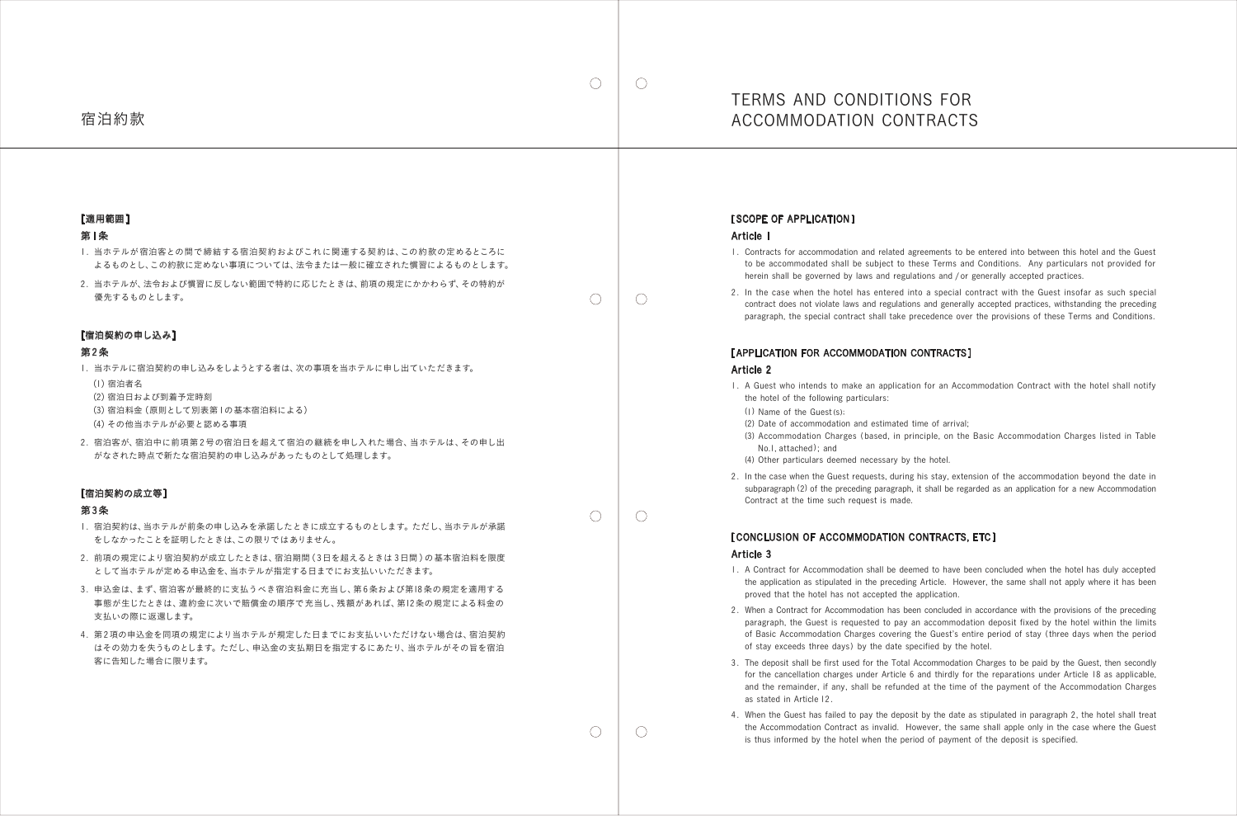| 宿泊約款                                                                                                                                        |           | <b>TERMS AND CON</b><br>ACCOMMODATIO                                                                                                                               |
|---------------------------------------------------------------------------------------------------------------------------------------------|-----------|--------------------------------------------------------------------------------------------------------------------------------------------------------------------|
| [適用範囲]<br>第1条                                                                                                                               |           | [SCOPE OF APPLICATION]<br>Article I                                                                                                                                |
| 1. 当ホテルが宿泊客との間で締結する宿泊契約およびこれに関連する契約は、この約款の定めるところに<br>よるものとし、この約款に定めない事項については、法令または一般に確立された慣習によるものとします。                                      |           | I. Contracts for accommodation a<br>to be accommodated shall be<br>herein shall be governed by lav                                                                 |
| 2. 当ホテルが、法令および慣習に反しない範囲で特約に応じたときは、前項の規定にかかわらず、その特約が<br>優先するものとします。                                                                          |           | 2. In the case when the hotel ha<br>contract does not violate laws a<br>paragraph, the special contract                                                            |
| [宿泊契約の申し込み]<br>第2条                                                                                                                          |           | [ APPLICATION FOR ACCOMM                                                                                                                                           |
| 1. 当ホテルに宿泊契約の申し込みをしようとする者は、次の事項を当ホテルに申し出ていただきます。                                                                                            |           | Article 2                                                                                                                                                          |
| (1) 宿泊者名<br>(2) 宿泊日および到着予定時刻<br>(3) 宿泊料金 (原則として別表第1の基本宿泊料による)<br>(4) その他当ホテルが必要と認める事項<br>2. 宿泊客が、宿泊中に前項第2号の宿泊日を超えて宿泊の継続を申し入れた場合、当ホテルは、その申し出 |           | I. A Guest who intends to make<br>the hotel of the following partion<br>(1) Name of the Guest (s);<br>(2) Date of accommodation and<br>(3) Accommodation Charges ( |
| がなされた時点で新たな宿泊契約の申し込みがあったものとして処理します。                                                                                                         |           | No.I, attached); and<br>(4) Other particulars deemed n<br>2. In the case when the Guest req                                                                        |
| [宿泊契約の成立等]<br>第3条                                                                                                                           |           | subparagraph (2) of the precedir<br>Contract at the time such requ                                                                                                 |
| Ⅰ.宿泊契約は、当ホテルが前条の申し込みを承諾したときに成立するものとします。 ただし、当ホテルが承諾<br>をしなかったことを証明したときは、この限りではありません。                                                        | $(\quad)$ | <b>[CONCLUSION OF ACCOMMO</b>                                                                                                                                      |
| 2. 前項の規定により宿泊契約が成立したときは、宿泊期間 (3日を超えるときは3日間) の基本宿泊料を限度<br>として当ホテルが定める申込金を、当ホテルが指定する日までにお支払いいただきます。                                           |           | Article 3<br>I. A Contract for Accommodation                                                                                                                       |
| 3. 申込金は、まず、宿泊客が最終的に支払うべき宿泊料金に充当し、第6条および第18条の規定を適用する<br>事態が生じたときは、違約金に次いで賠償金の順序で充当し、残額があれば、第12条の規定による料金の                                     |           | the application as stipulated in<br>proved that the hotel has not a<br>2. When a Contract for Accommod                                                             |
| 支払いの際に返還します。<br>4. 第2項の申込金を同項の規定により当ホテルが規定した日までにお支払いいただけない場合は、宿泊契約<br>はその効力を失うものとします。ただし、申込金の支払期日を指定するにあたり、当ホテルがその旨を宿泊                      |           | paragraph, the Guest is reques<br>of Basic Accommodation Charg<br>of stay exceeds three days) by                                                                   |
| 客に告知した場合に限ります。                                                                                                                              |           | 3. The deposit shall be first used f<br>for the cancellation charges un<br>and the remainder, if any, sha<br>as stated in Article 12.                              |
|                                                                                                                                             |           | 4. When the Guest has failed to p<br>the Accommodation Contract a<br>is thus informed by the hotel v                                                               |
|                                                                                                                                             |           |                                                                                                                                                                    |

# **NDITIONS FOR N CONTRACTS**

and related agreements to be entered into between this hotel and the Guest subject to these Terms and Conditions. Any particulars not provided for hereform shall be governed by shall backed states.

as entered into a special contract with the Guest insofar as such special and regulations and generally accepted practices, withstanding the preceding shall take precedence over the provisions of these Terms and Conditions.

#### **MODATION CONTRACTS ]**

an application for an Accommodation Contract with the hotel shall notify iculars:

(2) addestimated time of arrival; (based, in principle, on the Basic Accommodation Charges listed in Table

necessary by the hotel.

quests, during his stay, extension of the accommodation beyond the date in ing paragraph, it shall be regarded as an application for a new Accommodation est is made.

#### IODATION CONTRACTS, ETC ]

shall be deemed to have been concluded when the hotel has duly accepted the preceding Article. However, the same shall not apply where it has been accepted the application.

lation has been concluded in accordance with the provisions of the preceding sted to pay an accommodation deposit fixed by the hotel within the limits ges covering the Guest's entire period of stay (three days when the period y the date specified by the hotel.

for the Total Accommodation Charges to be paid by the Guest, then secondly der Article 6 and thirdly for the reparations under Article 18 as applicable, all be refunded at the time of the payment of the Accommodation Charges

pay the deposit by the date as stipulated in paragraph 2, the hotel shall treat as invalid. However, the same shall apple only in the case where the Guest when the period of payment of the deposit is specified.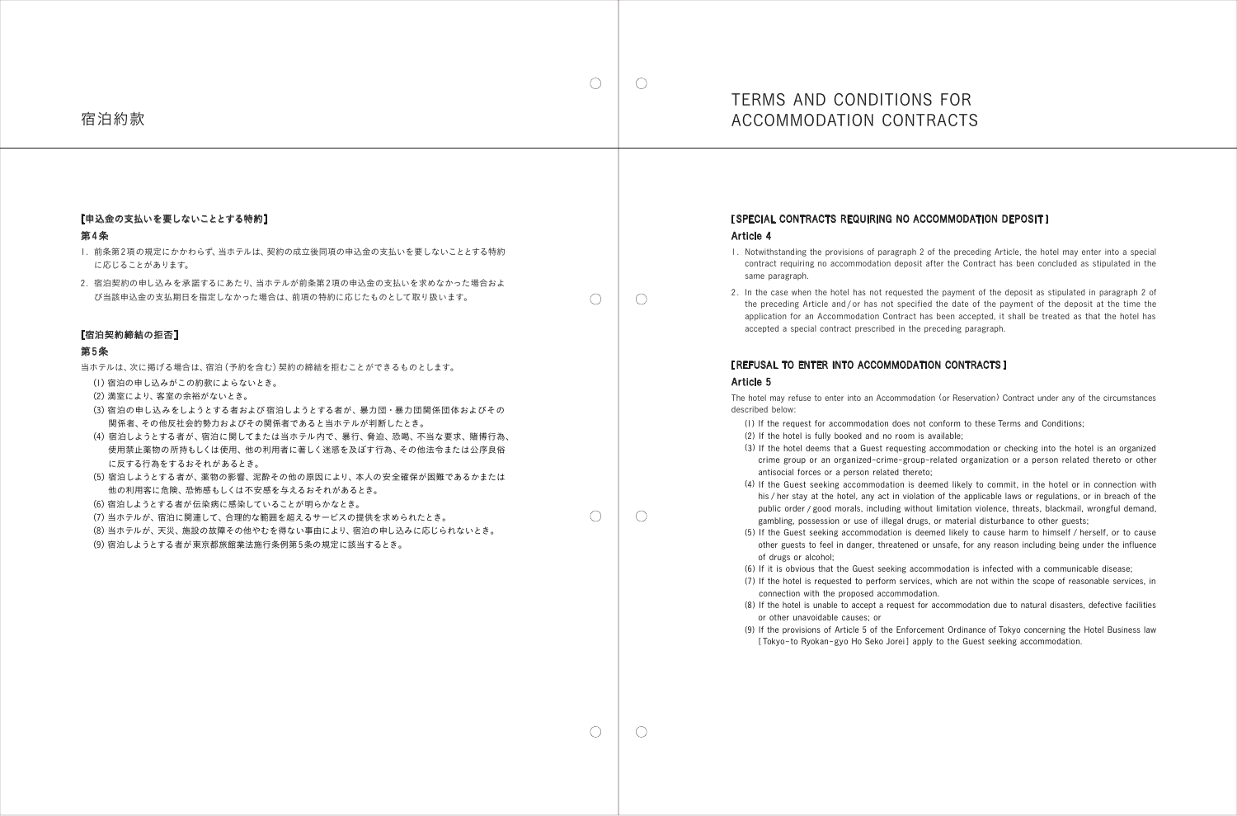$\bigcap$ 

 $\bigcirc$ 

 $\bigcirc$ 

 $\bigcap$ 

 $\bigcap$ 

#### [申込金の支払いを要しないこととする特約]

#### 第4条

- 1. 前条第2項の規定にかかわらず、当ホテルは、契約の成立後同項の申込金の支払いを要しないこととする特約 に応じることがあります。
- 2. 宿泊契約の申し込みを承諾するにあたり、当ホテルが前条第2項の申込金の支払いを求めなかった場合およ び当該申込金の支払期日を指定しなかった場合は、前項の特約に応じたものとして取り扱います。

#### [宿泊契約締結の拒否]

#### 第5条

- 当ホテルは、次に掲げる場合は、宿泊(予約を含む)契約の締結を拒むことができるものとします。
- (1)宿泊の申し込みがこの約款によらないとき。
- (2)満室により、客室の余裕がないとき。
- (3)宿泊の申し込みをしようとする者および宿泊しようとする者が、暴力団・暴力団関係団体およびその 関係者、その他反社会的勢力およびその関係者であると当ホテルが判断したとき。
- (4) 宿泊しようとする者が、宿泊に関してまたは当ホテル内で、暴行、脅迫、恐喝、不当な要求、賭博行為、 使用禁止薬物の所持もしくは使用、他の利用者に著しく迷惑を及ぼす行為、その他法令または公序良俗 に反する行為をするおそれがあるとき。
- (5)宿泊しようとする者が、薬物の影響、泥酔その他の原因により、本人の安全確保が困難であるかまたは 他の利用客に危険、恐怖感もしくは不安感を与えるおそれがあるとき。
- (6)宿泊しようとする者が伝染病に感染していることが明らかなとき。
- (7)当ホテルが、宿泊に関連して、合理的な範囲を超えるサービスの提供を求められたとき。
- (8)当ホテルが、天災、施設の故障その他やむを得ない事由により、宿泊の申し込みに応じられないとき。
- (9)宿泊しようとする者が東京都旅館業法施行条例第5条の規定に該当するとき。

#### [ SPECIAL CONTRACTS REQUIRING NO ACCOMMODATION DEPOSIT ]

# Article 4

1. Notwithstanding the provisions of paragraph 2 of the preceding Article, the hotel may enter into a special contract requiring no accommodation deposit after the Contract has been concluded as stipulated in the

- same paragraph.
- 

2. In the case when the hotel has not requested the payment of the deposit as stipulated in paragraph 2 of the preceding Article and / or has not specified the date of the payment of the deposit at the time the application for an Accommodation Contract has been accepted, it shall be treated as that the hotel has accepted a special contract prescribed in the preceding paragraph.

#### **[ REFUSAL TO ENTER INTO ACCOMMODATION CONTRACTS ]**

The hotel may refuse to enter into an Accommodation (or Reservation) Contract under any of the circumstances

# Article 5

described below:

(1) If the request for accommodation does not conform to these Terms and Conditions;

(2) If the hotel is fully booked and no room is available;

(3) If the hotel deems that a Guest requesting accommodation or checking into the hotel is an organized crime group or an organized-crime-group-related organization or a person related thereto or other antisocial forces or a person related thereto;

(4) If the Guest seeking accommodation is deemed likely to commit, in the hotel or in connection with his / her stay at the hotel, any act in violation of the applicable laws or regulations, or in breach of the public order / good morals, including without limitation violence, threats, blackmail, wrongful demand, gambling, possession or use of illegal drugs, or material disturbance to other guests;

(5) If the Guest seeking accommodation is deemed likely to cause harm to himself / herself, or to cause other guests to feel in danger, threatened or unsafe, for any reason including being under the influence

(6) If it is obvious that the Guest seeking accommodation is infected with a communicable disease;

(7) If the hotel is requested to perform services, which are not within the scope of reasonable services, in

- 
- 
- 
- of drugs or alcohol;
- 
- connection with the proposed accommodation.
- or other unavoidable causes; or
- 

 $\bigcap$  $\bigcirc$  (8) If the hotel is unable to accept a request for accommodation due to natural disasters, defective facilities

(9) If the provisions of Article 5 of the Enforcement Ordinance of Tokyo concerning the Hotel Business law [ Tokyo-to Ryokan-gyo Ho Seko Jorei ] apply to the Guest seeking accommodation.

### 宿泊約款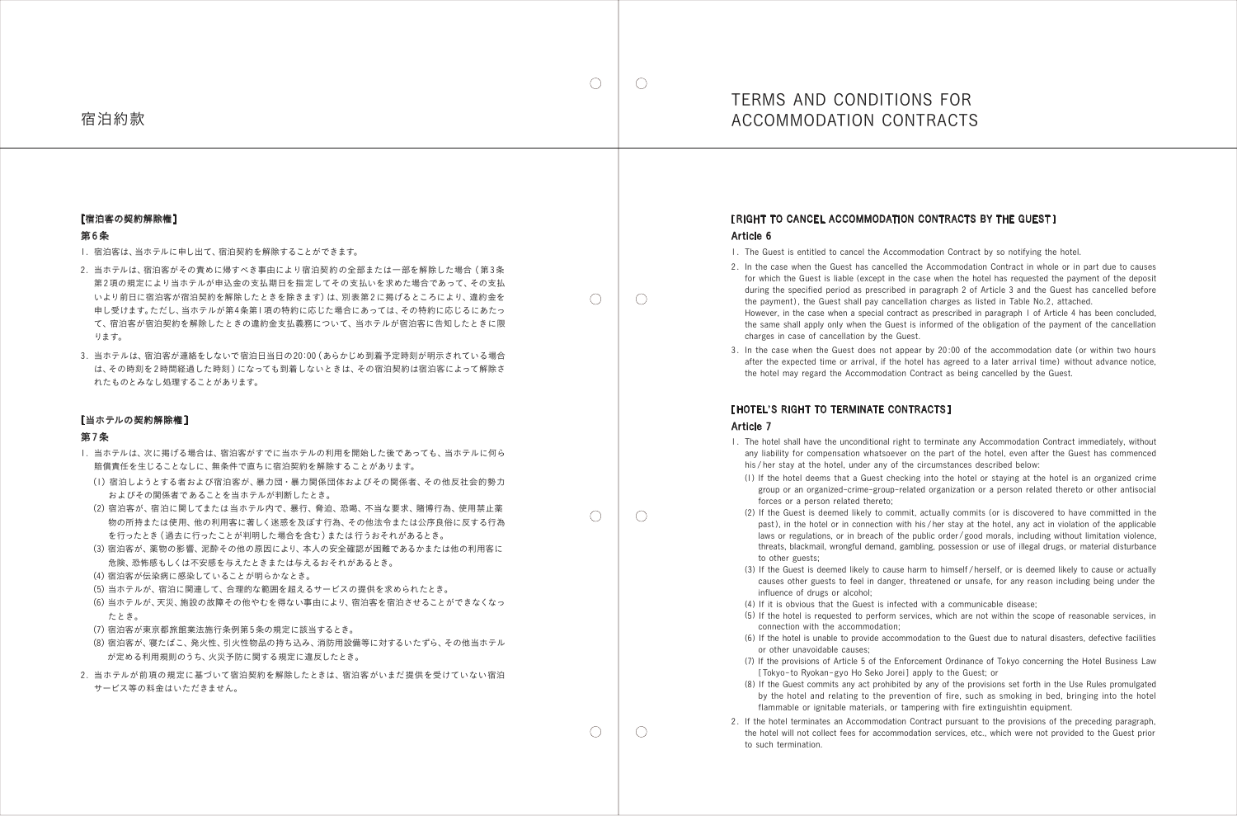$\bigcirc$ 

# [宿泊客の契約解除権]

#### 第6条

- 1. 宿泊客は、当ホテルに申し出て、宿泊契約を解除することができます。
- 2. 当ホテルは、宿泊客がその責めに帰すべき事由により宿泊契約の全部または一部を解除した場合(第3条 第2項の規定により当ホテルが申込金の支払期日を指定してその支払いを求めた場合であって、その支払 いより前日に宿泊客が宿泊契約を解除したときを除きます)は、別表第2 に掲げるところにより、違約金を 申し受けます。ただし、当ホテルが第4条第1項の特約に応じた場合にあっては、その特約に応じるにあたっ て、宿泊客が宿泊契約を解除したときの違約金支払義務について、当ホテルが宿泊客に告知したときに限 ります。
- 3. 当ホテルは、宿泊客が連絡をしないで宿泊日当日の20:00(あらかじめ到着予定時刻が明示されている場合 は、その時刻を2時間経過した時刻)になっても到着しないときは、その宿泊契約は宿泊客によって解除さ れたものとみなし処理することがあります。

#### [当ホテルの契約解除権]

#### 第7条

- 1. 当ホテルは、次に掲げる場合は、宿泊客がすでに当ホテルの利用を開始した後であっても、当ホテルに何ら 賠償責任を生じることなしに、無条件で直ちに宿泊契約を解除することがあります。
	- (1) 宿泊しようとする者および宿泊客が、暴力団・暴力関係団体およびその関係者、その他反社会的勢力 およびその関係者であることを当ホテルが判断したとき。
	- (2) 宿泊客が、 宿泊に関してまたは当ホテル内で、暴行、脅迫、恐喝、不当な要求、賭博行為、使用禁止薬 物の所持または使用、他の利用客に著しく迷惑を及ぼす行為、その他法令または公序良俗に反する行為 を行ったとき(過去に行ったことが判明した場合を含む)または行うおそれがあるとき。
	- (3) 宿泊客が、薬物の影響、泥酔その他の原因により、本人の安全確認が困難であるかまたは他の利用客に 危険、恐怖感もしくは不安感を与えたときまたは与えるおそれがあるとき。
	- (4) 宿泊客が伝染病に感染していることが明らかなとき。
	- (5) 当ホテルが、宿泊に関連して、合理的な範囲を超えるサービスの提供を求められたとき。
	- (6) 当ホテルが、天災、施設の故障その他やむを得ない事由により、宿泊客を宿泊させることができなくなっ たとき。
	- (7) 宿泊客が東京都旅館業法施行条例第5条の規定に該当するとき。
	- (8) 宿泊客が、寝たばこ、発火性、引火性物品の持ち込み、消防用設備等に対するいたずら、その他当ホテル が定める利用規則のうち、火災予防に関する規定に違反したとき。
- 2. 当ホテルが前項の規定に基づいて宿泊契約を解除したときは、宿泊客がいまだ提供を受けていない宿泊 サービス等の料金はいただきません。

 $\bigcap$ 

 $\bigcirc$ 

 $\bigcap$ 

 $\bigcap$ 

#### [ RIGHT TO CANCEL ACCOMMODATION CONTRACTS BY THE GUEST ]

# Article 6

1. The Guest is entitled to cancel the Accommodation Contract by so notifying the hotel.

2. In the case when the Guest has cancelled the Accommodation Contract in whole or in part due to causes for which the Guest is liable (except in the case when the hotel has requested the payment of the deposit during the specified period as prescribed in paragraph 2 of Article 3 and the Guest has cancelled before the payment), the Guest shall pay cancellation charges as listed in Table No.2, attached.

However, in the case when a special contract as prescribed in paragraph 1 of Article 4 has been concluded, the same shall apply only when the Guest is informed of the obligation of the payment of the cancellation

- 
- charges in case of cancellation by the Guest.
- 

3. In the case when the Guest does not appear by 20 :00 of the accommodation date (or within two hours after the expected time or arrival, if the hotel has agreed to a later arrival time) without advance notice, the hotel may regard the Accommodation Contract as being cancelled by the Guest.

### [ HOTEL'S RIGHT TO TERMINATE CONTRACTS ] Article 7

1. The hotel shall have the unconditional right to terminate any Accommodation Contract immediately, without any liability for compensation whatsoever on the part of the hotel, even after the Guest has commenced his / her stay at the hotel, under any of the circumstances described below:

(1) If the hotel deems that a Guest checking into the hotel or staying at the hotel is an organized crime group or an organized-crime-group-related organization or a person related thereto or other antisocial

(2) If the Guest is deemed likely to commit, actually commits (or is discovered to have committed in the past ), in the hotel or in connection with his / her stay at the hotel, any act in violation of the applicable laws or regulations, or in breach of the public order/good morals, including without limitation violence, threats, blackmail, wrongful demand, gambling, possession or use of illegal drugs, or material disturbance

(3) If the Guest is deemed likely to cause harm to himself / herself, or is deemed likely to cause or actually causes other guests to feel in danger, threatened or unsafe, for any reason including being under the

(4) If it is obvious that the Guest is infected with a communicable disease;

(5) If the hotel is requested to perform services, which are not within the scope of reasonable services, in

- - forces or a person related thereto;
	- to other guests;
	- influence of drugs or alcohol;
- 
- connection with the accommodation;
- or other unavoidable causes;
- 
- 
- to such termination.

 $\bigcap$ 

 $\bigcirc$ 

(6) If the hotel is unable to provide accommodation to the Guest due to natural disasters, defective facilities

(7) If the provisions of Article 5 of the Enforcement Ordinance of Tokyo concerning the Hotel Business Law [ Tokyo-to Ryokan-gyo Ho Seko Jorei ] apply to the Guest; or

(8) If the Guest commits any act prohibited by any of the provisions set forth in the Use Rules promulgated by the hotel and relating to the prevention of fire, such as smoking in bed, bringing into the hotel flammable or ignitable materials, or tampering with fire extinguishtin equipment.

2. If the hotel terminates an Accommodation Contract pursuant to the provisions of the preceding paragraph, the hotel will not collect fees for accommodation services, etc., which were not provided to the Guest prior

宿泊約款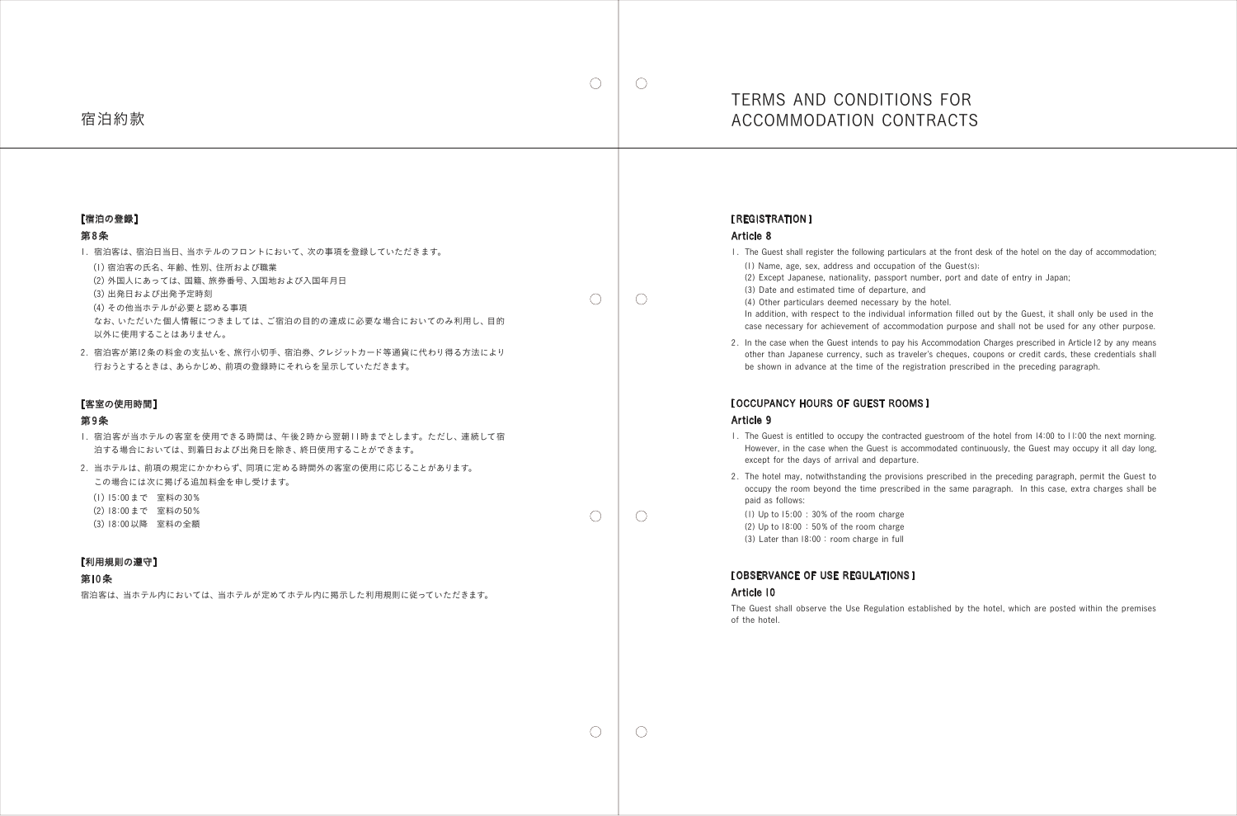| 宿泊約款                                                                                                                                                                                                                                                                                                                                                | $($ )     | <b>TERMS AND CON</b><br>ACCOMMODATION                                                                                                                                                                                                                                                                                                                                                                                                                                      |
|-----------------------------------------------------------------------------------------------------------------------------------------------------------------------------------------------------------------------------------------------------------------------------------------------------------------------------------------------------|-----------|----------------------------------------------------------------------------------------------------------------------------------------------------------------------------------------------------------------------------------------------------------------------------------------------------------------------------------------------------------------------------------------------------------------------------------------------------------------------------|
| [宿泊の登録]<br>第8条<br>1. 宿泊客は、宿泊日当日、当ホテルのフロントにおいて、次の事項を登録していただきます。<br>(I) 宿泊客の氏名、年齢、性別、住所および職業<br>(2) 外国人にあっては、国籍、旅券番号、入国地および入国年月日<br>(3) 出発日および出発予定時刻<br>(4) その他当ホテルが必要と認める事項<br>なお、いただいた個人情報につきましては、ご宿泊の目的の達成に必要な場合においてのみ利用し、目的<br>以外に使用することはありません。<br>2. 宿泊客が第12条の料金の支払いを、旅行小切手、宿泊券、クレジットカード等通貨に代わり得る方法により<br>行おうとするときは、あらかじめ、前項の登録時にそれらを呈示していただきます。 | $(\quad)$ | [REGISTRATION]<br>Article 8<br>1. The Guest shall register the follov<br>(I) Name, age, sex, address and<br>(2) Except Japanese, nationality,<br>(3) Date and estimated time of<br>(4) Other particulars deemed ne<br>In addition, with respect to the<br>case necessary for achievement<br>2. In the case when the Guest inten<br>other than Japanese currency, s<br>be shown in advance at the time                                                                      |
| [客室の使用時間]<br>第9条<br>1. 宿泊客が当ホテルの客室を使用できる時間は、午後2時から翌朝II時までとします。ただし、連続して宿<br>泊する場合においては、到着日および出発日を除き、終日使用することができます。<br>2. 当ホテルは、前項の規定にかかわらず、同項に定める時間外の客室の使用に応じることがあります。<br>この場合には次に掲げる追加料金を申し受けます。<br>(1) 15:00まで 室料の30%<br>(2) 18:00 まで 室料の50%<br>(3) 18:00 以降 室料の全額<br>[利用規則の遵守]<br>第10条<br>宿泊客は、当ホテル内においては、当ホテルが定めてホテル内に掲示した利用規則に従っていただきます。        |           | <b>[OCCUPANCY HOURS OF GUE</b><br>Article 9<br>I. The Guest is entitled to occupy t<br>However, in the case when the Q<br>except for the days of arrival ar<br>2. The hotel may, notwithstanding<br>occupy the room beyond the tin<br>paid as follows:<br>(1) Up to 15:00 : 30% of the roor<br>(2) Up to 18:00 : 50% of the roor<br>(3) Later than 18:00 : room char<br><b>[OBSERVANCE OF USE REGU</b><br>Article 10<br>The Guest shall observe the Use R<br>of the hotel. |
|                                                                                                                                                                                                                                                                                                                                                     |           |                                                                                                                                                                                                                                                                                                                                                                                                                                                                            |

# DITIONS FOR N CONTRACTS

wing particulars at the front desk of the hotel on the day of accommodation; d occupation of the Guest(s);

, passport number, port and date of entry in Japan;

departure, and

ecessary by the hotel.

individual information filled out by the Guest, it shall only be used in the cof accommodation purpose and shall not be used for any other purpose.

2. In the case in the case when the stop in the to pay his Accommodation Charges in Article 12 by any means such as traveler's cheques, coupons or credit cards, these credentials shall ne of the registration prescribed in the preceding paragraph.

#### EST ROOMS ]

the contracted guestroom of the hotel from 14:00 to 11:00 the next morning. Guest is accommodated continuously, the Guest may occupy it all day long, nd departure.

the provisions prescribed in the preceding paragraph, permit the Guest to me prescribed in the same paragraph. In this case, extra charges shall be

om charge om charge rge in full

#### **ILATIONS ]**

Regulation established by the hotel, which are posted within the premises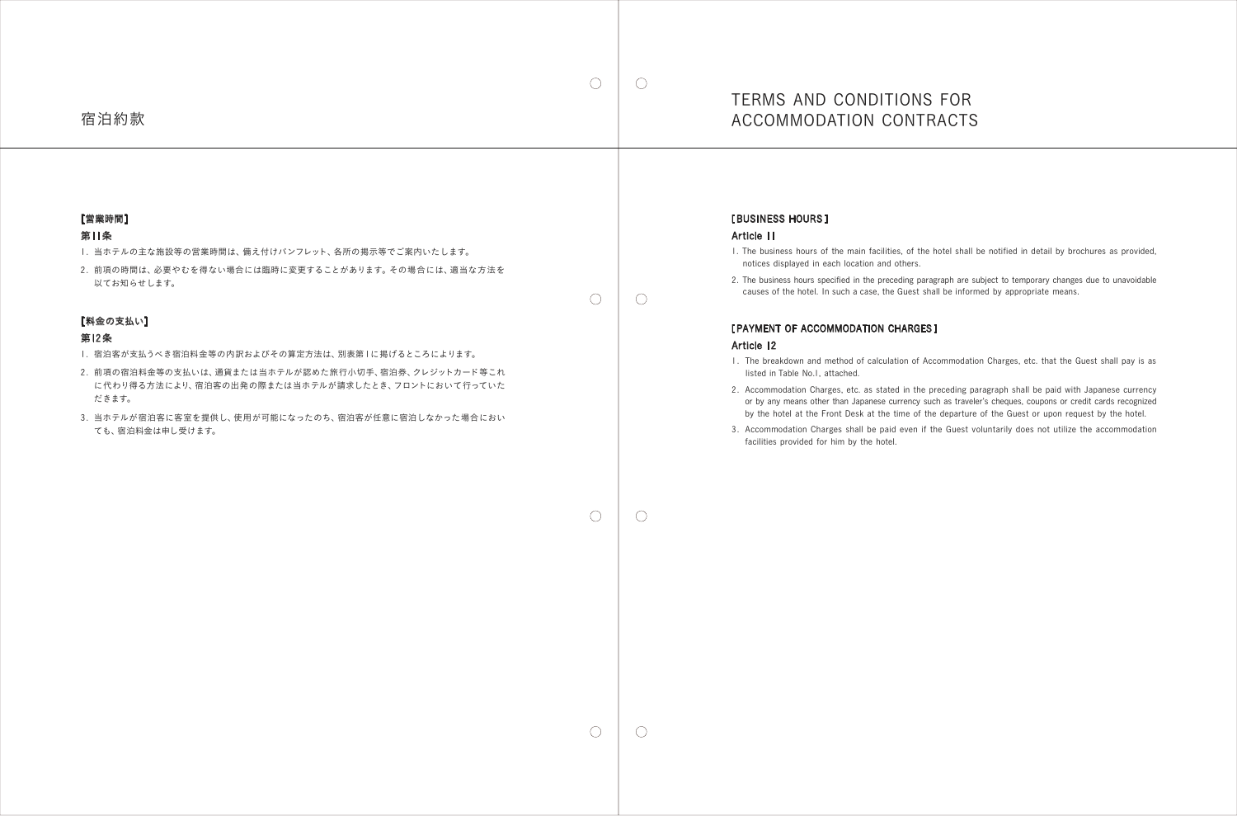| 宿泊約款                                                                                                                                                                                                                                                                                                                                                                                                       | $\bigcirc$<br>$\bigcirc$ | <b>TERMS AND CON</b><br>ACCOMMODATIO                                                                                                                                                                                                                                                                                                                                                                                                                              |
|------------------------------------------------------------------------------------------------------------------------------------------------------------------------------------------------------------------------------------------------------------------------------------------------------------------------------------------------------------------------------------------------------------|--------------------------|-------------------------------------------------------------------------------------------------------------------------------------------------------------------------------------------------------------------------------------------------------------------------------------------------------------------------------------------------------------------------------------------------------------------------------------------------------------------|
| [営業時間]<br>第11条<br>1. 当ホテルの主な施設等の営業時間は、備え付けパンフレット、各所の掲示等でご案内いたします。<br>2. 前項の時間は、必要やむを得ない場合には臨時に変更することがあります。その場合には、適当な方法を<br>以てお知らせします。<br>[料金の支払い]<br>第12条<br>1. 宿泊客が支払うべき宿泊料金等の内訳およびその算定方法は、別表第1に掲げるところによります。<br>2. 前項の宿泊料金等の支払いは、通貨または当ホテルが認めた旅行小切手、宿泊券、クレジットカード等これ<br>に代わり得る方法により、宿泊客の出発の際または当ホテルが請求したとき、フロントにおいて行っていた<br>だきます。<br>3. 当ホテルが宿泊客に客室を提供し、使用が可能になったのち、宿泊客が任意に宿泊しなかった場合におい<br>ても、宿泊料金は申し受けます。 | ◯<br>$\bigcap$           | [BUSINESS HOURS]<br>Article II<br>I. The business hours of the mai<br>notices displayed in each locat<br>2. The business hours specified in<br>causes of the hotel. In such a<br>[ PAYMENT OF ACCOMMODA<br>Article 12<br>I. The breakdown and method o<br>listed in Table No.I, attached.<br>2. Accommodation Charges, etc.<br>or by any means other than Ja<br>by the hotel at the Front Desl<br>3. Accommodation Charges shal<br>facilities provided for him by |
|                                                                                                                                                                                                                                                                                                                                                                                                            |                          |                                                                                                                                                                                                                                                                                                                                                                                                                                                                   |
|                                                                                                                                                                                                                                                                                                                                                                                                            |                          |                                                                                                                                                                                                                                                                                                                                                                                                                                                                   |

# **NDITIONS FOR ON CONTRACTS**

ain facilities, of the hotel shall be notified in detail by brochures as provided, ition and others.

the preceding paragraph are subject to temporary changes due to unavoidable case, the Guest shall be informed by appropriate means.

#### ATION CHARGES ]

of calculation of Accommodation Charges, etc. that the Guest shall pay is as

. as stated in the preceding paragraph shall be paid with Japanese currency apanese currency such as traveler's cheques, coupons or credit cards recognized sk at the time of the departure of the Guest or upon request by the hotel.

all be paid even if the Guest voluntarily does not utilize the accommodation the hotel.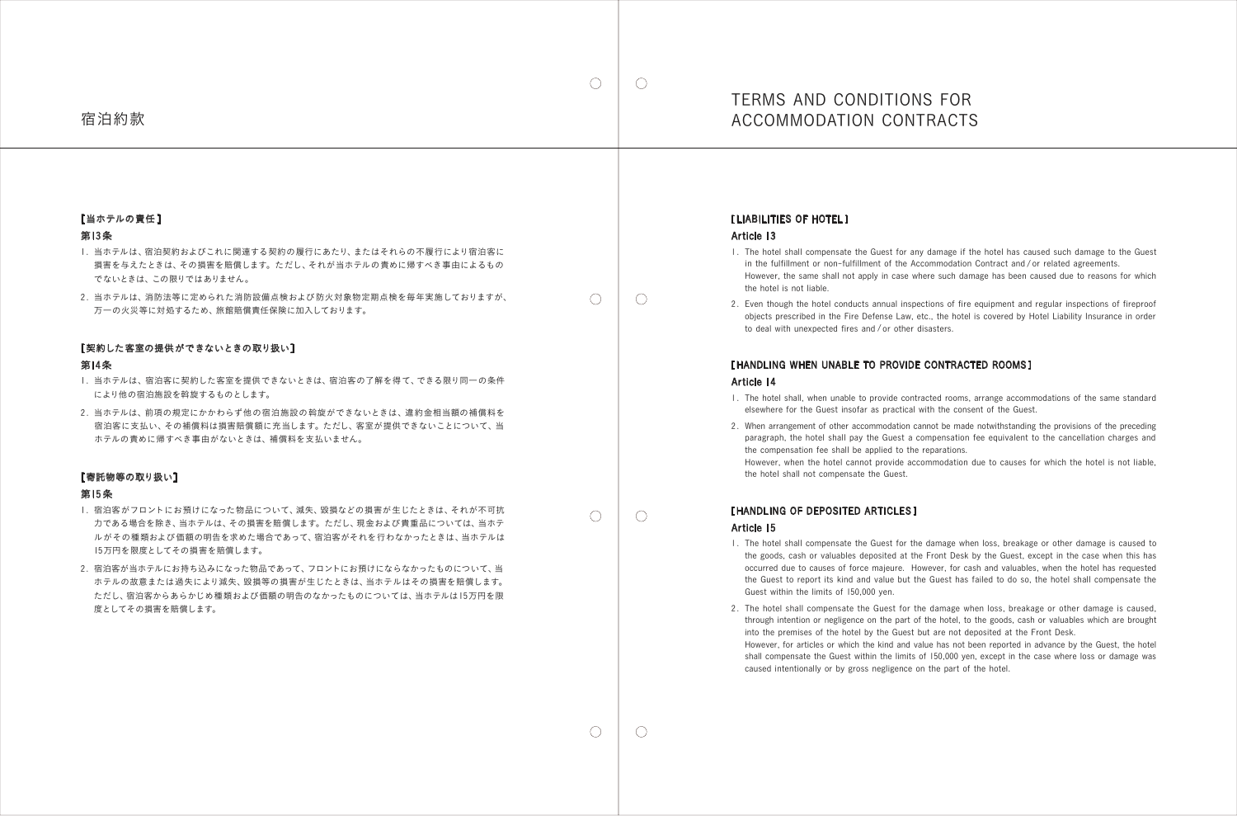|  | TERMS<br><b>ACCOMI</b> |
|--|------------------------|
|  |                        |

 $\bigcap$ 

 $\bigcirc$ 

#### [当ホテルの責任]

#### 第13条

- 1. 当ホテルは、宿泊契約およびこれに関連する契約の履行にあたり、またはそれらの不履行により宿泊客に 損害を与えたときは、その損害を賠償します。ただし、それが当ホテルの責めに帰すべき事由によるもの でないときは、この限りではありません。
- 2. 当ホテルは、消防法等に定められた消防設備点検および防火対象物定期点検を毎年実施しておりますが、 万一の火災等に対処するため、旅館賠償責任保険に加入しております。

#### [契約した客室の提供ができないときの取り扱い]

#### 第14条

- 1. 当ホテルは、宿泊客に契約した客室を提供できないときは、宿泊客の了解を得て、できる限り同一の条件 により他の宿泊施設を斡旋するものとします。
- 2. 当ホテルは、前項の規定にかかわらず他の宿泊施設の斡旋ができないときは、違約金相当額の補償料を 宿泊客に支払い、その補償料は損害賠償額に充当します。ただし、客室が提供できないことについて、当 ホテルの責めに帰すべき事由がないときは、補償料を支払いません。

#### [寄託物等の取り扱い]

#### 第15条

- 1. 宿泊客がフロントにお預けになった物品について、減失、毀損などの損害が生じたときは、それが不可抗 力である場合を除き、当ホテルは、その損害を賠償します。ただし、現金および貴重品については、当ホテ ルがその種類および価額の明告を求めた場合であって、宿泊客がそれを行わなかったときは、当ホテルは 15万円を限度としてその損害を賠償します。
- 2. 宿泊客が当ホテルにお持ち込みになった物品であって、フロントにお預けにならなかったものについて、当 ホテルの故意または過失により減失、毀損等の損害が生じたときは、当ホテルはその損害を賠償します。 ただし、宿泊客からあらかじめ種類および価額の明告のなかったものについては、当ホテルは15万円を限 度としてその損害を賠償します。

 $\bigcirc$ 

 $\bigcirc$ 

 $\bigcap$ 

 $\bigcap$ 

#### [ LIABILITIES OF HOTEL ] Article 13

1. The hotel shall compensate the Guest for any damage if the hotel has caused such damage to the Guest in the fulfillment or non-fulfillment of the Accommodation Contract and / or related agreements. However, the same shall not apply in case where such damage has been caused due to reasons for which

### **I HANDLING OF DEPOSITED ARTICLES 1** Article 15

2. Even though the hotel conducts annual inspections of fire equipment and regular inspections of fireproof objects prescribed in the Fire Defense Law, etc., the hotel is covered by Hotel Liability Insurance in order

- the hotel is not liable.
- to deal with unexpected fires and / or other disasters.

#### [ HANDLING WHEN UNABLE TO PROVIDE CONTRACTED ROOMS ]

# Article 14

1. The hotel shall, when unable to provide contracted rooms, arrange accommodations of the same standard elsewhere for the Guest insofar as practical with the consent of the Guest.

2. When arrangement of other accommodation cannot be made notwithstanding the provisions of the preceding paragraph, the hotel shall pay the Guest a compensation fee equivalent to the cancellation charges and the compensation fee shall be applied to the reparations.

However, when the hotel cannot provide accommodation due to causes for which the hotel is not liable,

- 
- the hotel shall not compensate the Guest.

1. The hotel shall compensate the Guest for the damage when loss, breakage or other damage is caused to the goods, cash or valuables deposited at the Front Desk by the Guest, except in the case when this has occurred due to causes of force majeure. However, for cash and valuables, when the hotel has requested the Guest to report its kind and value but the Guest has failed to do so, the hotel shall compensate the

- Guest within the limits of 150,000 yen.
- 

## AND CONDITIONS FOR MODATION CONTRACTS

2. The hotel shall compensate the Guest for the damage when loss, breakage or other damage is caused, through intention or negligence on the part of the hotel, to the goods, cash or valuables which are brought into the premises of the hotel by the Guest but are not deposited at the Front Desk.

However, for articles or which the kind and value has not been reported in advance by the Guest, the hotel shall compensate the Guest within the limits of 150,000 yen, except in the case where loss or damage was caused intentionally or by gross negligence on the part of the hotel.

宿泊約款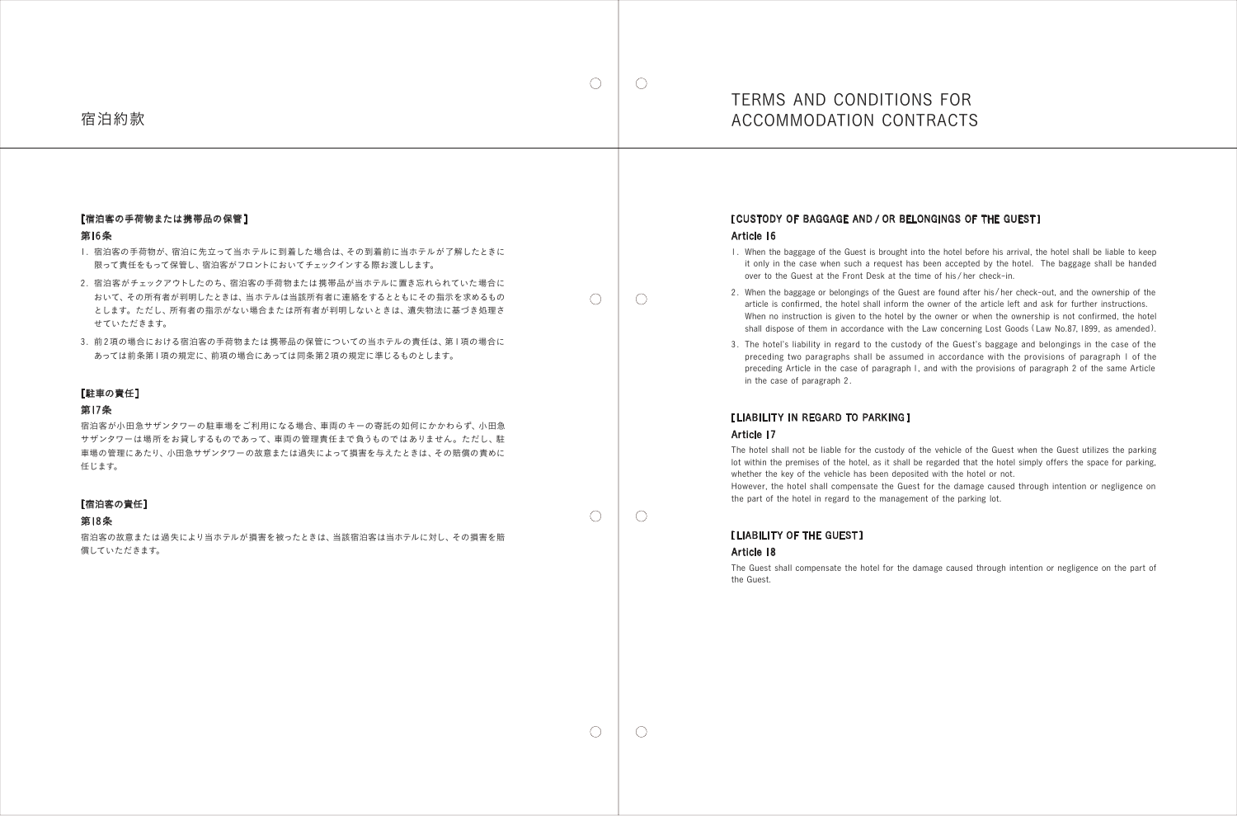| $\overline{\phantom{a}}$ |
|--------------------------|
|                          |
|                          |

 $\bigcirc$ 

 $\bigcirc$ 

 $\bigcirc$ 

 $\bigcap$ 

 $\bigcap$ 

#### [宿泊客の手荷物または携帯品の保管]

#### 第16条

- 1. 宿泊客の手荷物が、宿泊に先立って当ホテルに到着した場合は、その到着前に当ホテルが了解したときに 限って責任をもって保管し、宿泊客がフロントにおいてチェックインする際お渡しします。
- 2. 宿泊客がチェックアウトしたのち、宿泊客の手荷物または携帯品が当ホテルに置き忘れられていた場合に おいて、その所有者が判明したときは、当ホテルは当該所有者に連絡をするとともにその指示を求めるもの とします。ただし、所有者の指示がない場合または所有者が判明しないときは、遺失物法に基づき処理さ せていただきます。
- 3. 前2項の場合における宿泊客の手荷物または携帯品の保管についての当ホテルの責任は、第1項の場合に あっては前条第1項の規定に、前項の場合にあっては同条第2項の規定に準じるものとします。

#### [駐車の責任]

#### 第17条

宿泊客が小田急サザンタワーの駐車場をご利用になる場合、車両のキーの寄託の如何にかかわらず、小田急 サザンタワーは場所をお貸しするものであって、車両の管理責任まで負うものではありません。ただし、駐 車場の管理にあたり、小田急サザンタワーの故意または過失によって損害を与えたときは、その賠償の責めに 任じます。

#### [宿泊客の責任]

#### 第18条

宿泊客の故意または過失により当ホテルが損害を被ったときは、当該宿泊客は当ホテルに対し、その損害を賠 償していただきます。

宿泊約款

#### [ CUSTODY OF BAGGAGE AND / OR BELONGINGS OF THE GUEST ]

# Article 16

1. When the baggage of the Guest is brought into the hotel before his arrival, the hotel shall be liable to keep it only in the case when such a request has been accepted by the hotel. The baggage shall be handed over to the Guest at the Front Desk at the time of his / her check-in.

2. When the baggage or belongings of the Guest are found after his / her check-out, and the ownership of the article is confirmed, the hotel shall inform the owner of the article left and ask for further instructions. When no instruction is given to the hotel by the owner or when the ownership is not confirmed, the hotel shall dispose of them in accordance with the Law concerning Lost Goods ( Law No.87, 1899, as amended ).

3. The hotel's liability in regard to the custody of the Guest's baggage and belongings in the case of the preceding two paragraphs shall be assumed in accordance with the provisions of paragraph 1 of the preceding Article in the case of paragraph 1, and with the provisions of paragraph 2 of the same Article

- 
- 
- in the case of paragraph 2.

#### [ LIABILITY IN REGARD TO PARKING ] Article 17

The hotel shall not be liable for the custody of the vehicle of the Guest when the Guest utilizes the parking lot within the premises of the hotel, as it shall be regarded that the hotel simply offers the space for parking, whether the key of the vehicle has been deposited with the hotel or not.

However, the hotel shall compensate the Guest for the damage caused through intention or negligence on the part of the hotel in regard to the management of the parking lot.

### [ LIABILITY OF THE GUEST ] Article 18

The Guest shall compensate the hotel for the damage caused through intention or negligence on the part of

the Guest.

 $\bigcap$ 

 $\bigcirc$